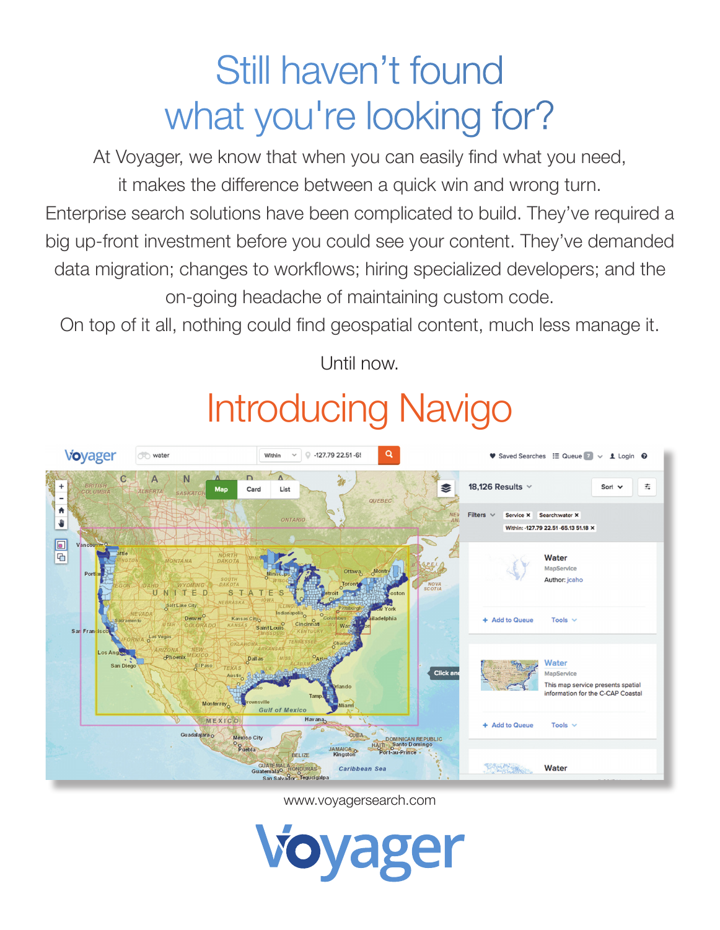# Still haven't found what you're looking for?

At Voyager, we know that when you can easily find what you need, it makes the difference between a quick win and wrong turn. Enterprise search solutions have been complicated to build. They've required a big up-front investment before you could see your content. They've demanded data migration; changes to workflows; hiring specialized developers; and the on-going headache of maintaining custom code.

On top of it all, nothing could find geospatial content, much less manage it.

**Voyager** o water  $\alpha$ Within  $\vee$   $\circ$  -127.79 22.51 -6! Saved Searches : E Queue 7 v 1 Login @  $\overline{A}$  $\mathbf C$ N 18,126 Results 吉 S Card List QUEBEC  $\hat{\mathbf{r}}$ Service X Search:water X ONTARIO ₩ Within: -127.79 22.51 -65.13 51.18 X  $\Box$  $\overline{a}$ Water MapService **Author: icaho** TFC **Add to Queue** Tools Cincinn SaintLouis **S Vegas** Water Click an MapService This map service presents spatial information for the C-CAP Coastal **Gulf of Mexico** MEXICO Add to Queue **Tools** Guadalajara o CUBA México City DOMINICAN REPUBLIC<br>II Santo Domingo DOMINICAN R  $P$ uebla MAICA<br>Gingston BELIZE GUATEMALA HONDURAS **BANK AND STATE** Water Caribbean Se ador Teguci

Until now.

# Introducing Navigo

www.voyagersearch.com

**Voyager**